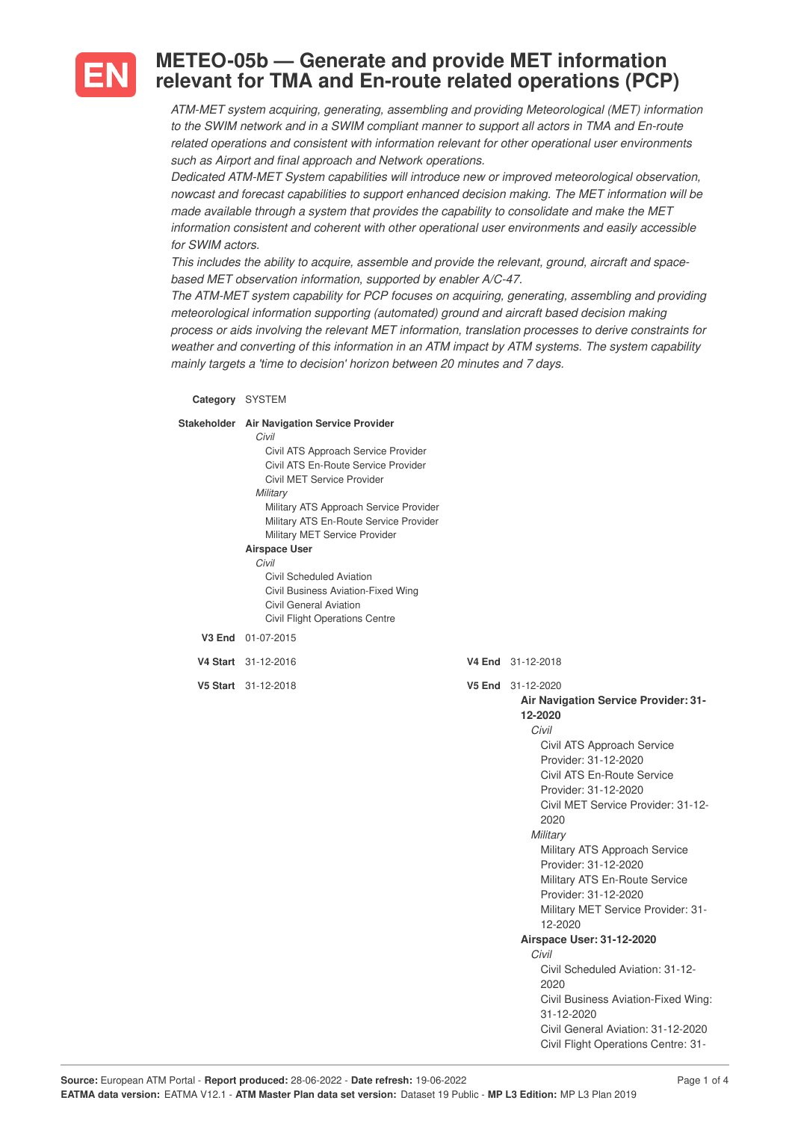

## **METEO-05b — Generate and provide MET information relevant for TMA and En-route related operations (PCP)**

*ATM-MET system acquiring, generating, assembling and providing Meteorological (MET) information to the SWIM network and in a SWIM compliant manner to support all actors in TMA and En-route related operations and consistent with information relevant for other operational user environments such as Airport and final approach and Network operations.*

*Dedicated ATM-MET System capabilities will introduce new or improved meteorological observation, nowcast and forecast capabilities to support enhanced decision making. The MET information will be made available through a system that provides the capability to consolidate and make the MET information consistent and coherent with other operational user environments and easily accessible for SWIM actors.*

*This includes the ability to acquire, assemble and provide the relevant, ground, aircraft and spacebased MET observation information, supported by enabler A/C-47.*

*The ATM-MET system capability for PCP focuses on acquiring, generating, assembling and providing meteorological information supporting (automated) ground and aircraft based decision making process or aids involving the relevant MET information, translation processes to derive constraints for weather and converting of this information in an ATM impact by ATM systems. The system capability mainly targets a 'time to decision' horizon between 20 minutes and 7 days.*

## **Category** SYSTEM

**Sta** 

| keholder Air Navigation Service Provider |                                      |
|------------------------------------------|--------------------------------------|
| Civil                                    |                                      |
| Civil ATS Approach Service Provider      |                                      |
| Civil ATS En-Route Service Provider      |                                      |
| Civil MET Service Provider               |                                      |
| Military                                 |                                      |
| Military ATS Approach Service Provider   |                                      |
| Military ATS En-Route Service Provider   |                                      |
| Military MET Service Provider            |                                      |
| <b>Airspace User</b>                     |                                      |
| Civil                                    |                                      |
| Civil Scheduled Aviation                 |                                      |
| Civil Business Aviation-Fixed Wing       |                                      |
| Civil General Aviation                   |                                      |
| <b>Civil Flight Operations Centre</b>    |                                      |
| V3 End 01-07-2015                        |                                      |
| V4 Start 31-12-2016                      | V4 End 31-12-2018                    |
| V5 Start 31-12-2018                      | V5 End 31-12-2020                    |
|                                          | Air Navigation Service Provider: 31- |
|                                          | 12-2020                              |
|                                          | Civil                                |
|                                          | Civil ATS Approach Service           |
|                                          | Provider: 31-12-2020                 |
|                                          | Civil ATS En-Route Service           |
|                                          | Provider: 31-12-2020                 |
|                                          | Civil MET Service Provider: 31-12-   |

2020 *Military*

12-2020

*Civil*

2020

31-12-2020

**Airspace User: 31-12-2020**

Military ATS Approach Service Provider: 31-12-2020 Military ATS En-Route Service Provider: 31-12-2020

Military MET Service Provider: 31-

Civil Scheduled Aviation: 31-12-

Civil Business Aviation-Fixed Wing:

Civil General Aviation: 31-12-2020 Civil Flight Operations Centre: 31-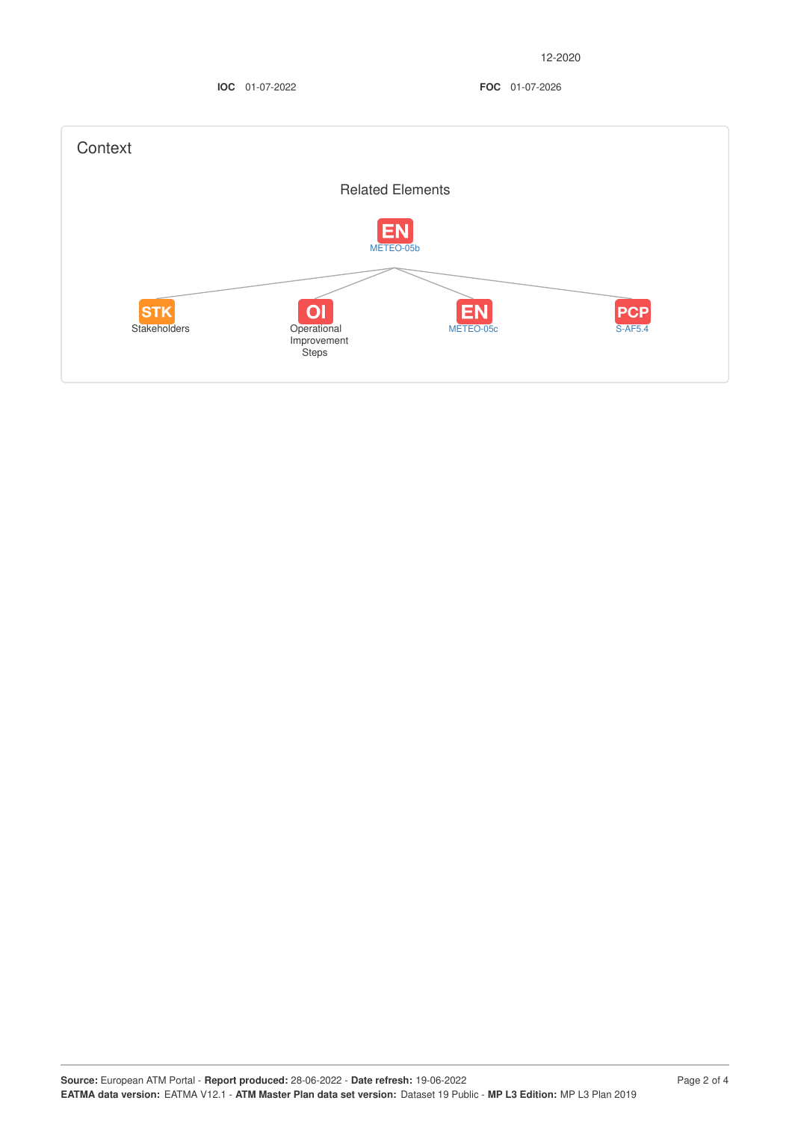**IOC** 01-07-2022 **FOC** 01-07-2026

| Context                           |                                           |                        |                              |
|-----------------------------------|-------------------------------------------|------------------------|------------------------------|
|                                   | <b>Related Elements</b>                   |                        |                              |
|                                   | <b>EN</b><br>METEO-05b                    |                        |                              |
| <b>STK</b><br><b>Stakeholders</b> | O <br>Operational<br>Improvement<br>Steps | <b>EN</b><br>METEO-05c | <b>PCP</b><br><b>S-AF5.4</b> |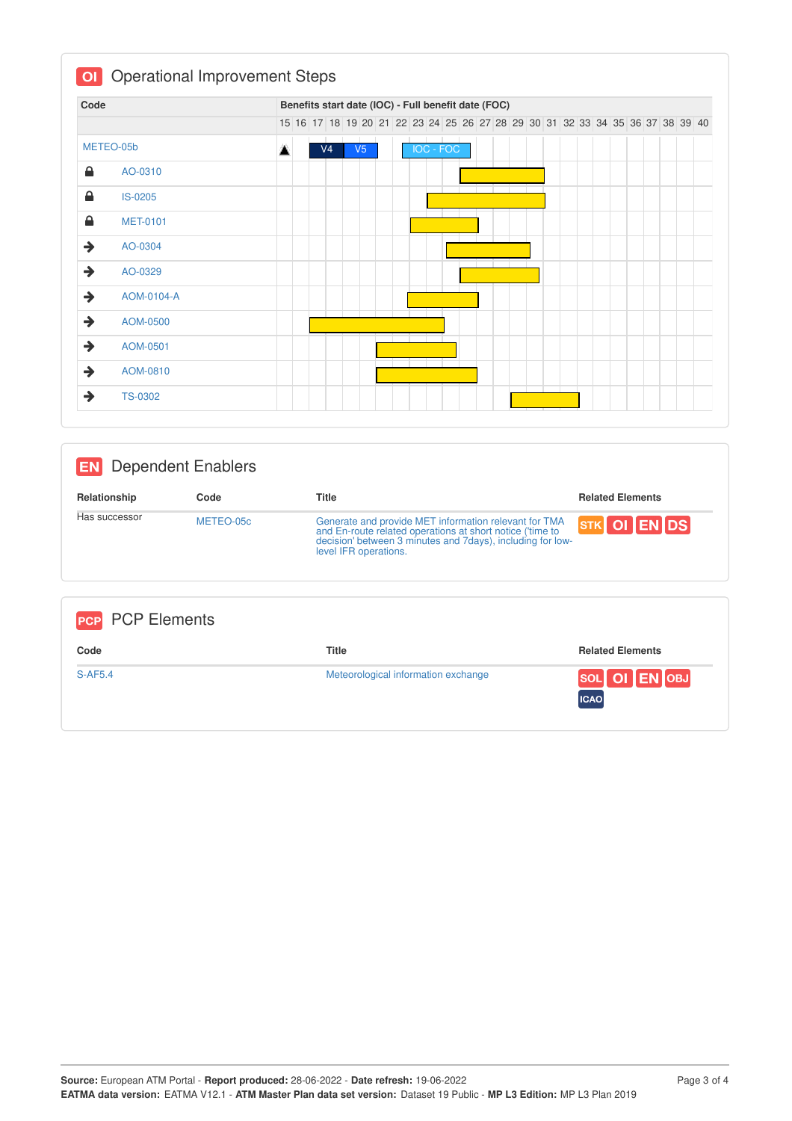| Code          |                 |   |  |                |    |  | Benefits start date (IOC) - Full benefit date (FOC)                           |  |  |  |  |  |  |  |  |  |
|---------------|-----------------|---|--|----------------|----|--|-------------------------------------------------------------------------------|--|--|--|--|--|--|--|--|--|
|               |                 |   |  |                |    |  | 15 16 17 18 19 20 21 22 23 24 25 26 27 28 29 30 31 32 33 34 35 36 37 38 39 40 |  |  |  |  |  |  |  |  |  |
|               | METEO-05b       | Д |  | V <sub>4</sub> | V5 |  | <b>IOC - FOC</b>                                                              |  |  |  |  |  |  |  |  |  |
| 숌             | AO-0310         |   |  |                |    |  |                                                                               |  |  |  |  |  |  |  |  |  |
| ≙             | <b>IS-0205</b>  |   |  |                |    |  |                                                                               |  |  |  |  |  |  |  |  |  |
| 숌             | <b>MET-0101</b> |   |  |                |    |  |                                                                               |  |  |  |  |  |  |  |  |  |
| $\rightarrow$ | AO-0304         |   |  |                |    |  |                                                                               |  |  |  |  |  |  |  |  |  |
| $\rightarrow$ | AO-0329         |   |  |                |    |  |                                                                               |  |  |  |  |  |  |  |  |  |
| $\rightarrow$ | AOM-0104-A      |   |  |                |    |  |                                                                               |  |  |  |  |  |  |  |  |  |
| $\rightarrow$ | AOM-0500        |   |  |                |    |  |                                                                               |  |  |  |  |  |  |  |  |  |
| $\rightarrow$ | AOM-0501        |   |  |                |    |  |                                                                               |  |  |  |  |  |  |  |  |  |
| $\rightarrow$ | AOM-0810        |   |  |                |    |  |                                                                               |  |  |  |  |  |  |  |  |  |
| →             | <b>TS-0302</b>  |   |  |                |    |  |                                                                               |  |  |  |  |  |  |  |  |  |

| <b>IEN</b>                        | <b>Dependent Enablers</b> |                                                                                                                                                                                                           |                         |
|-----------------------------------|---------------------------|-----------------------------------------------------------------------------------------------------------------------------------------------------------------------------------------------------------|-------------------------|
| Relationship                      | Code                      | <b>Title</b>                                                                                                                                                                                              | <b>Related Elements</b> |
| Has successor                     | METEO-05c                 | Generate and provide MET information relevant for TMA<br>and En-route related operations at short notice ('time to<br>decision' between 3 minutes and 7days), including for low-<br>level IFR operations. | STK OI ENDS             |
| <b>PCP Elements</b><br><b>PCP</b> |                           |                                                                                                                                                                                                           |                         |
| Code                              |                           | <b>Title</b>                                                                                                                                                                                              | <b>Related Elements</b> |
| $S-AF5.4$                         |                           | Meteorological information exchange                                                                                                                                                                       | IOB.<br><b>SOI</b>      |

**ICAO**